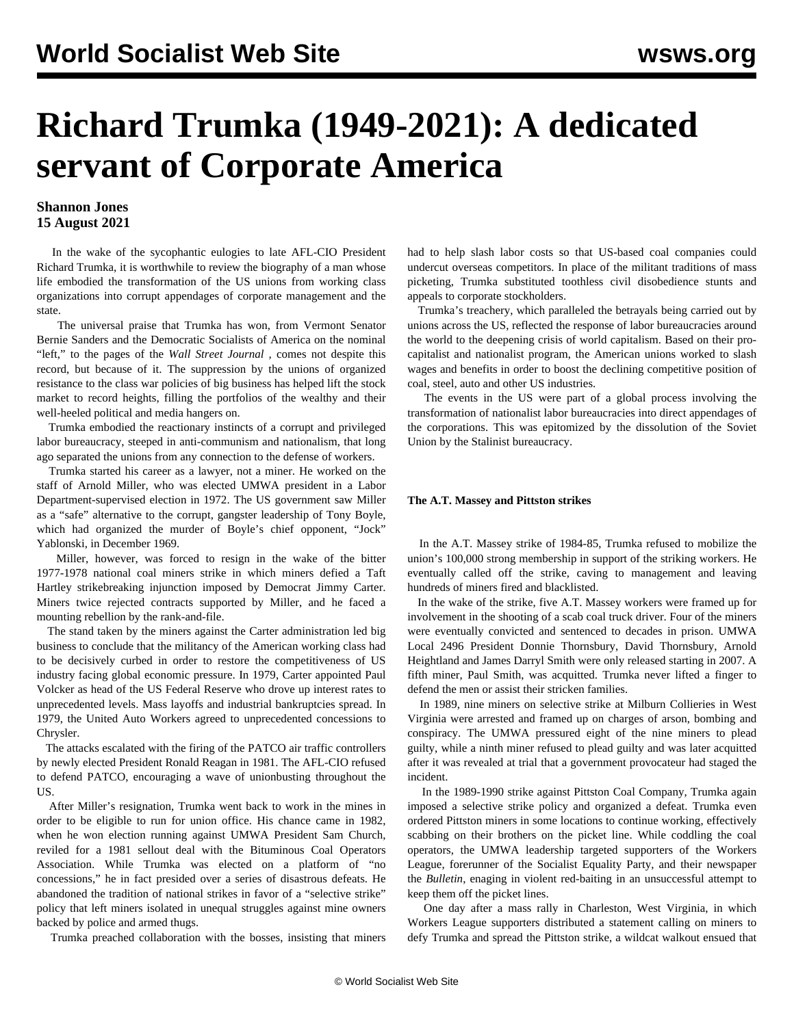## **Richard Trumka (1949-2021): A dedicated servant of Corporate America**

## **Shannon Jones 15 August 2021**

 In the wake of the sycophantic eulogies to late AFL-CIO President Richard Trumka, it is worthwhile to review the biography of a man whose life embodied the transformation of the US unions from working class organizations into corrupt appendages of corporate management and the state.

 The universal praise that Trumka has won, from Vermont Senator Bernie Sanders and the Democratic Socialists of America on the nominal "left," to the pages of the *Wall Street Journal ,* comes not despite this record, but because of it. The suppression by the unions of organized resistance to the class war policies of big business has helped lift the stock market to record heights, filling the portfolios of the wealthy and their well-heeled political and media hangers on.

 Trumka embodied the reactionary instincts of a corrupt and privileged labor bureaucracy, steeped in anti-communism and nationalism, that long ago separated the unions from any connection to the defense of workers.

 Trumka started his career as a lawyer, not a miner. He worked on the staff of Arnold Miller, who was elected UMWA president in a Labor Department-supervised election in 1972. The US government saw Miller as a "safe" alternative to the corrupt, gangster leadership of Tony Boyle, which had organized the murder of Boyle's chief opponent, "Jock" Yablonski, in December 1969.

 Miller, however, was forced to resign in the wake of the bitter 1977-1978 national coal miners strike in which miners defied a Taft Hartley strikebreaking injunction imposed by Democrat Jimmy Carter. Miners twice rejected contracts supported by Miller, and he faced a mounting rebellion by the rank-and-file.

 The stand taken by the miners against the Carter administration led big business to conclude that the militancy of the American working class had to be decisively curbed in order to restore the competitiveness of US industry facing global economic pressure. In 1979, Carter appointed Paul Volcker as head of the US Federal Reserve who drove up interest rates to unprecedented levels. Mass layoffs and industrial bankruptcies spread. In 1979, the United Auto Workers agreed to unprecedented concessions to Chrysler.

 The attacks escalated with the firing of the PATCO air traffic controllers by newly elected President Ronald Reagan in 1981. The AFL-CIO refused to defend PATCO, encouraging a wave of unionbusting throughout the US.

 After Miller's resignation, Trumka went back to work in the mines in order to be eligible to run for union office. His chance came in 1982, when he won election running against UMWA President Sam Church, reviled for a 1981 sellout deal with the Bituminous Coal Operators Association. While Trumka was elected on a platform of "no concessions," he in fact presided over a series of disastrous defeats. He abandoned the tradition of national strikes in favor of a "selective strike" policy that left miners isolated in unequal struggles against mine owners backed by police and armed thugs.

Trumka preached collaboration with the bosses, insisting that miners

had to help slash labor costs so that US-based coal companies could undercut overseas competitors. In place of the militant traditions of mass picketing, Trumka substituted toothless civil disobedience stunts and appeals to corporate stockholders.

 Trumka's treachery, which paralleled the betrayals being carried out by unions across the US, reflected the response of labor bureaucracies around the world to the deepening crisis of world capitalism. Based on their procapitalist and nationalist program, the American unions worked to slash wages and benefits in order to boost the declining competitive position of coal, steel, auto and other US industries.

 The events in the US were part of a global process involving the transformation of nationalist labor bureaucracies into direct appendages of the corporations. This was epitomized by the dissolution of the Soviet Union by the Stalinist bureaucracy.

## **The A.T. Massey and Pittston strikes**

 In the A.T. Massey strike of 1984-85, Trumka refused to mobilize the union's 100,000 strong membership in support of the striking workers. He eventually called off the strike, caving to management and leaving hundreds of miners fired and blacklisted.

 In the wake of the strike, five A.T. Massey workers were framed up for involvement in the shooting of a scab coal truck driver. Four of the miners were eventually convicted and sentenced to decades in prison. UMWA Local 2496 President Donnie Thornsbury, David Thornsbury, Arnold Heightland and James Darryl Smith were only released starting in 2007. A fifth miner, Paul Smith, was acquitted. Trumka never lifted a finger to defend the men or assist their stricken families.

 In 1989, nine miners on selective strike at Milburn Collieries in West Virginia were arrested and framed up on charges of arson, bombing and conspiracy. The UMWA pressured eight of the nine miners to plead guilty, while a ninth miner refused to plead guilty and was later acquitted after it was revealed at trial that a government provocateur had staged the incident.

 In the 1989-1990 strike against Pittston Coal Company, Trumka again imposed a selective strike policy and organized a defeat. Trumka even ordered Pittston miners in some locations to continue working, effectively scabbing on their brothers on the picket line. While coddling the coal operators, the UMWA leadership targeted supporters of the Workers League, forerunner of the Socialist Equality Party, and their newspaper the *Bulletin*, enaging in violent red-baiting in an unsuccessful attempt to keep them off the picket lines.

 One day after a mass rally in Charleston, West Virginia, in which Workers League supporters distributed a statement calling on miners to defy Trumka and spread the Pittston strike, a wildcat walkout ensued that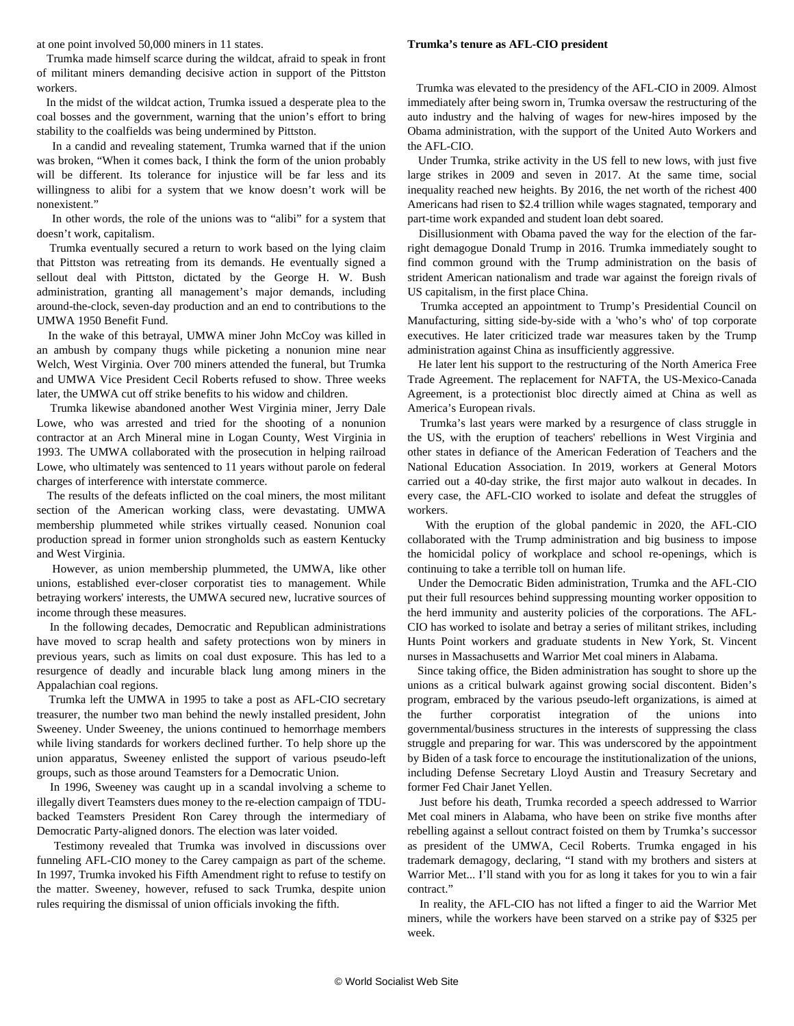at one point involved 50,000 miners in 11 states.

 Trumka made himself scarce during the wildcat, afraid to speak in front of militant miners demanding decisive action in support of the Pittston workers.

 In the midst of the wildcat action, Trumka issued a desperate plea to the coal bosses and the government, warning that the union's effort to bring stability to the coalfields was being undermined by Pittston.

 In a candid and revealing statement, Trumka warned that if the union was broken, "When it comes back, I think the form of the union probably will be different. Its tolerance for injustice will be far less and its willingness to alibi for a system that we know doesn't work will be nonexistent."

 In other words, the role of the unions was to "alibi" for a system that doesn't work, capitalism.

 Trumka eventually secured a return to work based on the lying claim that Pittston was retreating from its demands. He eventually signed a sellout deal with Pittston, dictated by the George H. W. Bush administration, granting all management's major demands, including around-the-clock, seven-day production and an end to contributions to the UMWA 1950 Benefit Fund.

 In the wake of this betrayal, UMWA miner John McCoy was killed in an ambush by company thugs while picketing a nonunion mine near Welch, West Virginia. Over 700 miners attended the funeral, but Trumka and UMWA Vice President Cecil Roberts refused to show. Three weeks later, the UMWA cut off strike benefits to his widow and children.

 Trumka likewise abandoned another West Virginia miner, Jerry Dale Lowe, who was arrested and tried for the shooting of a nonunion contractor at an Arch Mineral mine in Logan County, West Virginia in 1993. The UMWA collaborated with the prosecution in helping railroad Lowe, who ultimately was sentenced to 11 years without parole on federal charges of interference with interstate commerce.

 The results of the defeats inflicted on the coal miners, the most militant section of the American working class, were devastating. UMWA membership plummeted while strikes virtually ceased. Nonunion coal production spread in former union strongholds such as eastern Kentucky and West Virginia.

 However, as union membership plummeted, the UMWA, like other unions, established ever-closer corporatist ties to management. While betraying workers' interests, the UMWA secured new, lucrative sources of income through these measures.

 In the following decades, Democratic and Republican administrations have moved to scrap health and safety protections won by miners in previous years, such as limits on coal dust exposure. This has led to a [resurgence](/en/articles/2018/07/23/blac-j23.html) of deadly and incurable black lung among miners in the Appalachian coal regions.

 Trumka left the UMWA in 1995 to take a post as AFL-CIO secretary treasurer, the number two man behind the newly installed president, John Sweeney. Under Sweeney, the unions continued to hemorrhage members while living standards for workers declined further. To help shore up the union apparatus, Sweeney enlisted the support of various pseudo-left groups, such as those around Teamsters for a Democratic Union.

 In 1996, Sweeney was caught up in a scandal involving a scheme to illegally divert Teamsters dues money to the re-election campaign of TDUbacked Teamsters President Ron Carey through the intermediary of Democratic Party-aligned donors. The election was later voided.

 Testimony revealed that Trumka was involved in discussions over funneling AFL-CIO money to the Carey campaign as part of the scheme. In 1997, Trumka invoked his Fifth Amendment right to refuse to testify on the matter. Sweeney, however, refused to sack Trumka, despite union rules requiring the dismissal of union officials invoking the fifth.

## **Trumka's tenure as AFL-CIO president**

 Trumka was elevated to the presidency of the AFL-CIO in 2009. Almost immediately after being sworn in, Trumka oversaw the restructuring of the auto industry and the halving of wages for new-hires imposed by the Obama administration, with the support of the United Auto Workers and the AFL-CIO.

 Under Trumka, strike activity in the US fell to new lows, with just five large strikes in 2009 and seven in 2017. At the same time, social inequality reached new heights. By 2016, the net worth of the richest 400 Americans had risen to \$2.4 trillion while wages stagnated, temporary and part-time work expanded and student loan debt soared.

 Disillusionment with Obama paved the way for the election of the farright demagogue Donald Trump in 2016. Trumka immediately sought to find common ground with the Trump administration on the basis of strident American nationalism and trade war against the foreign rivals of US capitalism, in the first place China.

 Trumka accepted an appointment to Trump's Presidential Council on Manufacturing, sitting side-by-side with a 'who's who' of top corporate executives. He later criticized trade war measures taken by the Trump administration against China as insufficiently aggressive.

 He later lent his support to the restructuring of the North America Free Trade Agreement. The replacement for NAFTA, the US-Mexico-Canada Agreement, is a protectionist bloc directly aimed at China as well as America's European rivals.

 Trumka's last years were marked by a resurgence of class struggle in the US, with the eruption of teachers' rebellions in West Virginia and other states in defiance of the American Federation of Teachers and the National Education Association. In 2019, workers at General Motors carried out a 40-day strike, the first major auto walkout in decades. In every case, the AFL-CIO worked to isolate and defeat the struggles of workers.

 With the eruption of the global pandemic in 2020, the AFL-CIO collaborated with the Trump administration and big business to impose the homicidal policy of workplace and school re-openings, which is continuing to take a terrible toll on human life.

 Under the Democratic Biden administration, Trumka and the AFL-CIO put their full resources behind suppressing mounting worker opposition to the herd immunity and austerity policies of the corporations. The AFL-CIO has worked to isolate and betray a series of militant strikes, including Hunts Point workers and graduate students in New York, St. Vincent nurses in Massachusetts and Warrior Met coal miners in Alabama.

 Since taking office, the Biden administration has sought to shore up the unions as a critical bulwark against growing social discontent. Biden's program, embraced by the various pseudo-left organizations, is aimed at the further corporatist integration of the unions into governmental/business structures in the interests of suppressing the class struggle and preparing for war. This was underscored by the appointment by Biden of a task force to encourage the institutionalization of the unions, including Defense Secretary Lloyd Austin and Treasury Secretary and former Fed Chair Janet Yellen.

 Just before his death, Trumka recorded a speech addressed to Warrior Met coal miners in Alabama, who have been on strike five months after rebelling against a sellout contract foisted on them by Trumka's successor as president of the UMWA, Cecil Roberts. Trumka engaged in his trademark demagogy, declaring, "I stand with my brothers and sisters at Warrior Met... I'll stand with you for as long it takes for you to win a fair contract."

 In reality, the AFL-CIO has not lifted a finger to aid the Warrior Met miners, while the workers have been starved on a strike pay of \$325 per week.